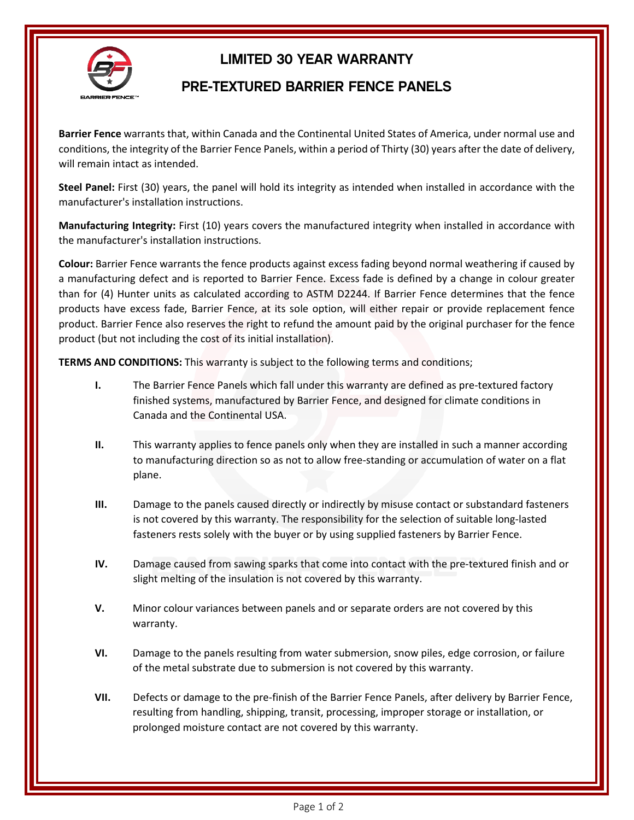

## LIMITED 30 YEAR WARRANTY

## PRE-TEXTURED BARRIER FENCE PANELS

**Barrier Fence** warrants that, within Canada and the Continental United States of America, under normal use and conditions, the integrity of the Barrier Fence Panels, within a period of Thirty (30) years after the date of delivery, will remain intact as intended.

**Steel Panel:** First (30) years, the panel will hold its integrity as intended when installed in accordance with the manufacturer's installation instructions.

**Manufacturing Integrity:** First (10) years covers the manufactured integrity when installed in accordance with the manufacturer's installation instructions.

**Colour:** Barrier Fence warrants the fence products against excess fading beyond normal weathering if caused by a manufacturing defect and is reported to Barrier Fence. Excess fade is defined by a change in colour greater than for (4) Hunter units as calculated according to ASTM D2244. If Barrier Fence determines that the fence products have excess fade, Barrier Fence, at its sole option, will either repair or provide replacement fence product. Barrier Fence also reserves the right to refund the amount paid by the original purchaser for the fence product (but not including the cost of its initial installation).

**TERMS AND CONDITIONS:** This warranty is subject to the following terms and conditions;

- **I.** The Barrier Fence Panels which fall under this warranty are defined as pre-textured factory finished systems, manufactured by Barrier Fence, and designed for climate conditions in Canada and the Continental USA.
- **II.** This warranty applies to fence panels only when they are installed in such a manner according to manufacturing direction so as not to allow free-standing or accumulation of water on a flat plane.
- **III.** Damage to the panels caused directly or indirectly by misuse contact or substandard fasteners is not covered by this warranty. The responsibility for the selection of suitable long-lasted fasteners rests solely with the buyer or by using supplied fasteners by Barrier Fence.
- **IV.** Damage caused from sawing sparks that come into contact with the pre-textured finish and or slight melting of the insulation is not covered by this warranty.
- **V.** Minor colour variances between panels and or separate orders are not covered by this warranty.
- **VI.** Damage to the panels resulting from water submersion, snow piles, edge corrosion, or failure of the metal substrate due to submersion is not covered by this warranty.
- **VII.** Defects or damage to the pre-finish of the Barrier Fence Panels, after delivery by Barrier Fence, resulting from handling, shipping, transit, processing, improper storage or installation, or prolonged moisture contact are not covered by this warranty.